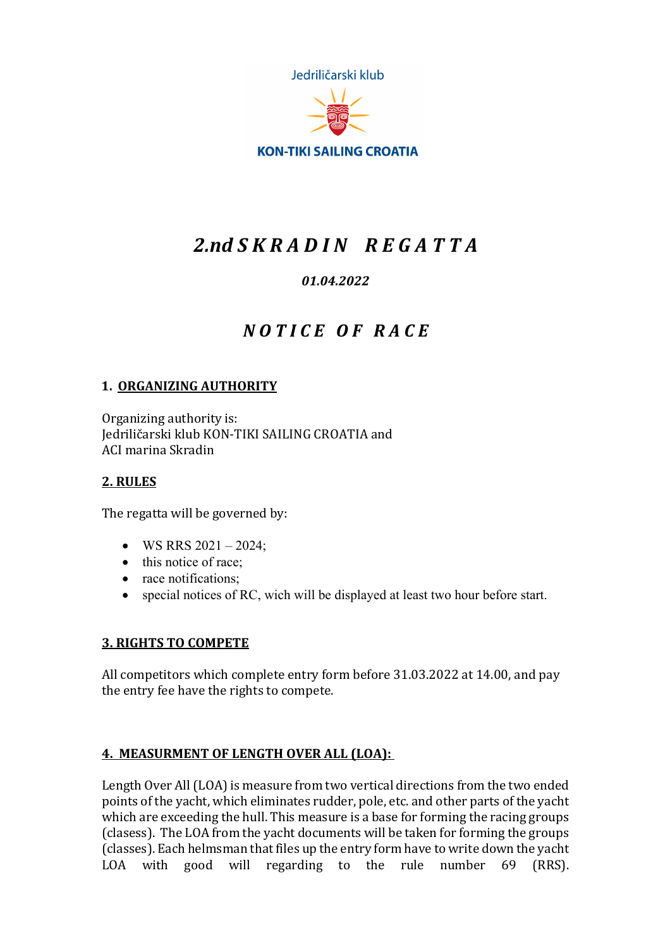Jedriličarski klub



**KON-TIKI SAILING CROATIA** 

# *2.nd S K R A D I N R E G A T T A*

## *01.04.2022*

## *N O T I C E O F R A C E*

## **1. ORGANIZING AUTHORITY**

Organizing authority is: Jedriličarski klub KON-TIKI SAILING CROATIA and ACI marina Skradin

#### **2. RULES**

The regatta will be governed by:

- WS RRS  $2021 2024$ ;
- this notice of race:
- race notifications:
- special notices of RC, wich will be displayed at least two hour before start.

#### **3. RIGHTS TO COMPETE**

All competitors which complete entry form before 31.03.2022 at 14.00, and pay the entry fee have the rights to compete.

#### **4. MEASURMENT OF LENGTH OVER ALL (LOA):**

Length Over All (LOA) is measure from two vertical directions from the two ended points of the yacht, which eliminates rudder, pole, etc. and other parts of the yacht which are exceeding the hull. This measure is a base for forming the racing groups (clasess). The LOA from the yacht documents will be taken for forming the groups (classes). Each helmsman that files up the entry form have to write down the yacht LOA with good will regarding to the rule number 69 (RRS).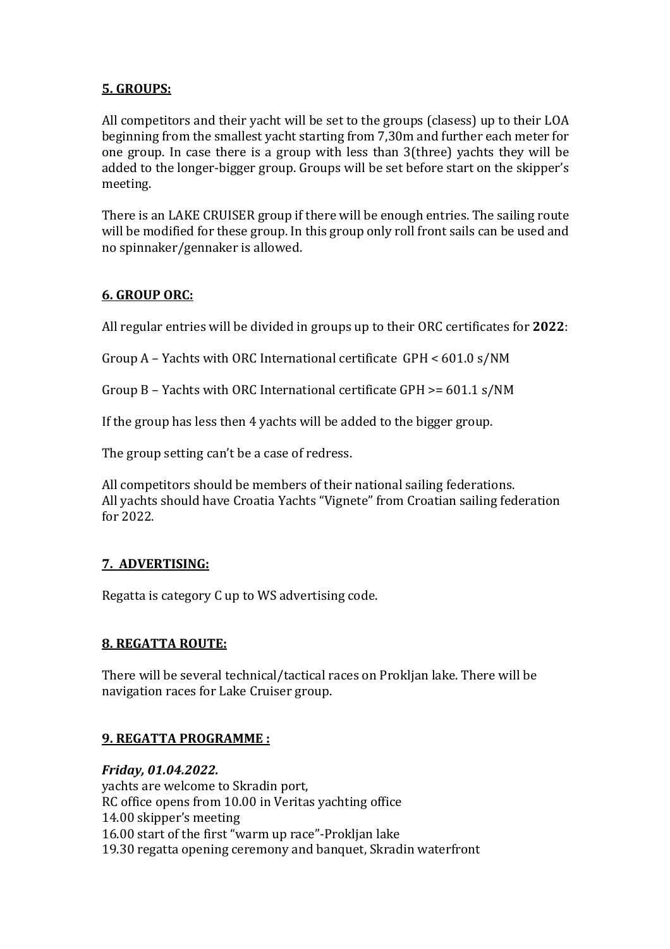## **5. GROUPS:**

All competitors and their yacht will be set to the groups (clasess) up to their LOA beginning from the smallest yacht starting from 7,30m and further each meter for one group. In case there is a group with less than  $3$ (three) yachts they will be added to the longer-bigger group. Groups will be set before start on the skipper's meeting.

There is an LAKE CRUISER group if there will be enough entries. The sailing route will be modified for these group. In this group only roll front sails can be used and no spinnaker/gennaker is allowed.

## **6. GROUP ORC:**

All regular entries will be divided in groups up to their ORC certificates for 2022:

Group A – Yachts with ORC International certificate  $GPH < 601.0 s/NM$ 

Group B - Yachts with ORC International certificate GPH  $> = 601.1$  s/NM

If the group has less then 4 yachts will be added to the bigger group.

The group setting can't be a case of redress.

All competitors should be members of their national sailing federations. All yachts should have Croatia Yachts "Vignete" from Croatian sailing federation for 2022.

## **7. ADVERTISING:**

Regatta is category C up to WS advertising code.

## **8. REGATTA ROUTE:**

There will be several technical/tactical races on Proklian lake. There will be navigation races for Lake Cruiser group.

## **9. REGATTA PROGRAMME :**

*Friday, 01.04.2022.* yachts are welcome to Skradin port, RC office opens from 10.00 in Veritas yachting office 14.00 skipper's meeting 16.00 start of the first "warm up race"-Prokljan lake 19.30 regatta opening ceremony and banquet, Skradin waterfront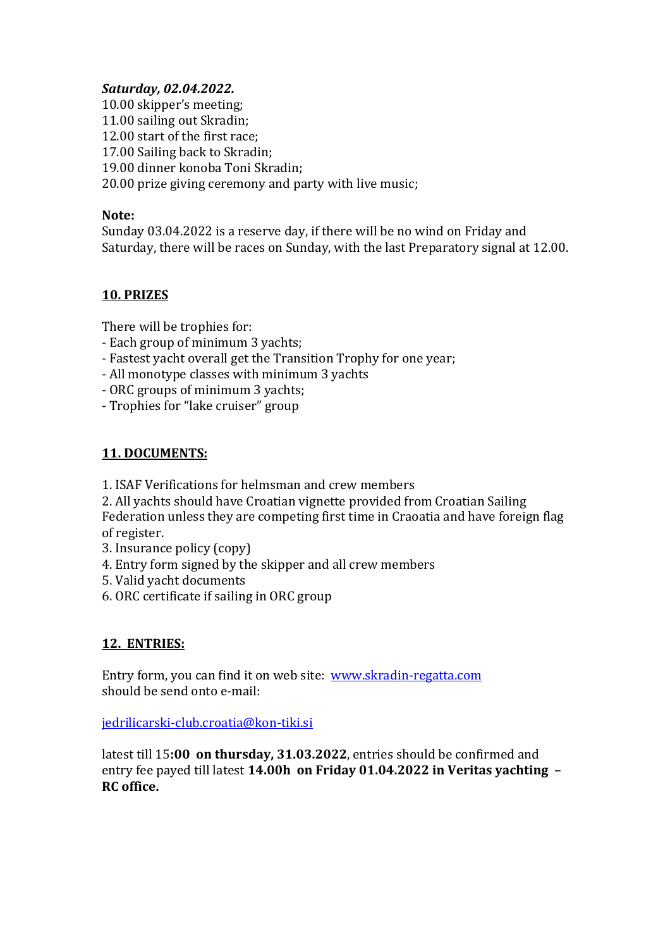#### *Saturday, 02.04.2022.*

10.00 skipper's meeting; 11.00 sailing out Skradin: 12.00 start of the first race: 17.00 Sailing back to Skradin: 19.00 dinner konoba Toni Skradin; 20.00 prize giving ceremony and party with live music;

#### Note:

Sunday 03.04.2022 is a reserve day, if there will be no wind on Friday and Saturday, there will be races on Sunday, with the last Preparatory signal at 12.00.

#### **10. PRIZES**

There will be trophies for:

- Each group of minimum 3 yachts;
- Fastest yacht overall get the Transition Trophy for one year;
- All monotype classes with minimum 3 yachts
- ORC groups of minimum 3 yachts;
- Trophies for "lake cruiser" group

## **11. DOCUMENTS:**

1. ISAF Verifications for helmsman and crew members

2. All yachts should have Croatian vignette provided from Croatian Sailing Federation unless they are competing first time in Craoatia and have foreign flag of register.

- 3. Insurance policy (copy)
- 4. Entry form signed by the skipper and all crew members
- 5. Valid yacht documents
- 6. ORC certificate if sailing in ORC group

## **12. ENTRIES:**

Entry form, you can find it on web site: www.skradin-regatta.com should be send onto e-mail:

jedrilicarski-club.croatia@kon-tiki.si

latest till 15:00 on thursday, 31.03.2022, entries should be confirmed and entry fee payed till latest **14.00h on Friday 01.04.2022 in Veritas yachting – RC office.**